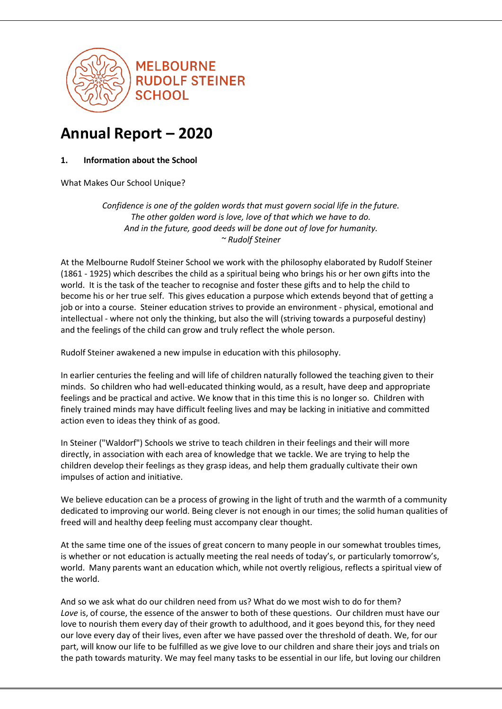

# **Annual Report – 2020**

**1. Information about the School**

What Makes Our School Unique?

*Confidence is one of the golden words that must govern social life in the future. The other golden word is love, love of that which we have to do. And in the future, good deeds will be done out of love for humanity. ~ Rudolf Steiner*

At the Melbourne Rudolf Steiner School we work with the philosophy elaborated by Rudolf Steiner (1861 - 1925) which describes the child as a spiritual being who brings his or her own gifts into the world. It is the task of the teacher to recognise and foster these gifts and to help the child to become his or her true self. This gives education a purpose which extends beyond that of getting a job or into a course. Steiner education strives to provide an environment - physical, emotional and intellectual - where not only the thinking, but also the will (striving towards a purposeful destiny) and the feelings of the child can grow and truly reflect the whole person.

Rudolf Steiner awakened a new impulse in education with this philosophy.

In earlier centuries the feeling and will life of children naturally followed the teaching given to their minds. So children who had well-educated thinking would, as a result, have deep and appropriate feelings and be practical and active. We know that in this time this is no longer so. Children with finely trained minds may have difficult feeling lives and may be lacking in initiative and committed action even to ideas they think of as good.

In Steiner ("Waldorf") Schools we strive to teach children in their feelings and their will more directly, in association with each area of knowledge that we tackle. We are trying to help the children develop their feelings as they grasp ideas, and help them gradually cultivate their own impulses of action and initiative.

We believe education can be a process of growing in the light of truth and the warmth of a community dedicated to improving our world. Being clever is not enough in our times; the solid human qualities of freed will and healthy deep feeling must accompany clear thought.

At the same time one of the issues of great concern to many people in our somewhat troubles times, is whether or not education is actually meeting the real needs of today's, or particularly tomorrow's, world. Many parents want an education which, while not overtly religious, reflects a spiritual view of the world.

And so we ask what do our children need from us? What do we most wish to do for them? *Love* is, of course, the essence of the answer to both of these questions. Our children must have our love to nourish them every day of their growth to adulthood, and it goes beyond this, for they need our love every day of their lives, even after we have passed over the threshold of death. We, for our part, will know our life to be fulfilled as we give love to our children and share their joys and trials on the path towards maturity. We may feel many tasks to be essential in our life, but loving our children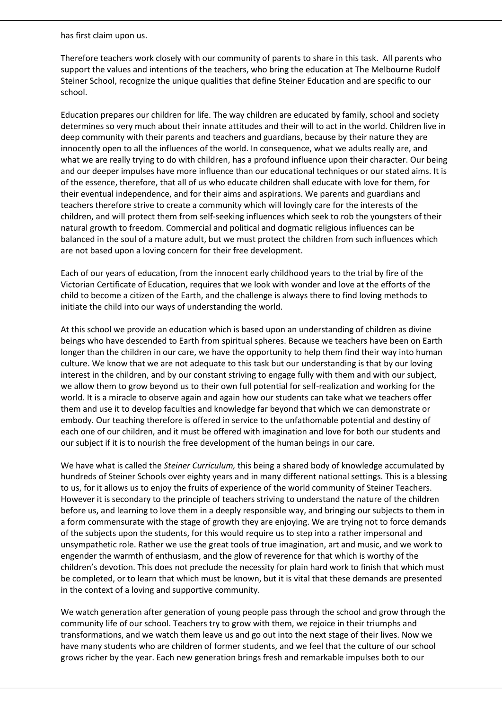has first claim upon us.

Therefore teachers work closely with our community of parents to share in this task. All parents who support the values and intentions of the teachers, who bring the education at The Melbourne Rudolf Steiner School, recognize the unique qualities that define Steiner Education and are specific to our school.

Education prepares our children for life. The way children are educated by family, school and society determines so very much about their innate attitudes and their will to act in the world. Children live in deep community with their parents and teachers and guardians, because by their nature they are innocently open to all the influences of the world. In consequence, what we adults really are, and what we are really trying to do with children, has a profound influence upon their character. Our being and our deeper impulses have more influence than our educational techniques or our stated aims. It is of the essence, therefore, that all of us who educate children shall educate with love for them, for their eventual independence, and for their aims and aspirations. We parents and guardians and teachers therefore strive to create a community which will lovingly care for the interests of the children, and will protect them from self-seeking influences which seek to rob the youngsters of their natural growth to freedom. Commercial and political and dogmatic religious influences can be balanced in the soul of a mature adult, but we must protect the children from such influences which are not based upon a loving concern for their free development.

Each of our years of education, from the innocent early childhood years to the trial by fire of the Victorian Certificate of Education, requires that we look with wonder and love at the efforts of the child to become a citizen of the Earth, and the challenge is always there to find loving methods to initiate the child into our ways of understanding the world.

At this school we provide an education which is based upon an understanding of children as divine beings who have descended to Earth from spiritual spheres. Because we teachers have been on Earth longer than the children in our care, we have the opportunity to help them find their way into human culture. We know that we are not adequate to this task but our understanding is that by our loving interest in the children, and by our constant striving to engage fully with them and with our subject, we allow them to grow beyond us to their own full potential for self-realization and working for the world. It is a miracle to observe again and again how our students can take what we teachers offer them and use it to develop faculties and knowledge far beyond that which we can demonstrate or embody. Our teaching therefore is offered in service to the unfathomable potential and destiny of each one of our children, and it must be offered with imagination and love for both our students and our subject if it is to nourish the free development of the human beings in our care.

We have what is called the *Steiner Curriculum,* this being a shared body of knowledge accumulated by hundreds of Steiner Schools over eighty years and in many different national settings. This is a blessing to us, for it allows us to enjoy the fruits of experience of the world community of Steiner Teachers. However it is secondary to the principle of teachers striving to understand the nature of the children before us, and learning to love them in a deeply responsible way, and bringing our subjects to them in a form commensurate with the stage of growth they are enjoying. We are trying not to force demands of the subjects upon the students, for this would require us to step into a rather impersonal and unsympathetic role. Rather we use the great tools of true imagination, art and music, and we work to engender the warmth of enthusiasm, and the glow of reverence for that which is worthy of the children's devotion. This does not preclude the necessity for plain hard work to finish that which must be completed, or to learn that which must be known, but it is vital that these demands are presented in the context of a loving and supportive community.

We watch generation after generation of young people pass through the school and grow through the community life of our school. Teachers try to grow with them, we rejoice in their triumphs and transformations, and we watch them leave us and go out into the next stage of their lives. Now we have many students who are children of former students, and we feel that the culture of our school grows richer by the year. Each new generation brings fresh and remarkable impulses both to our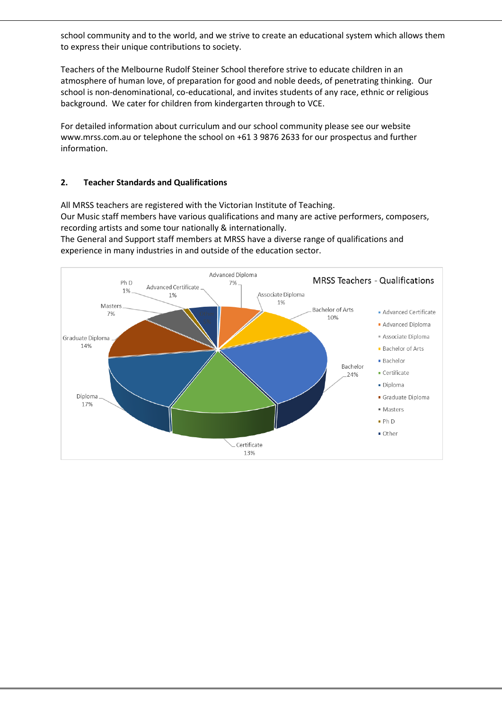school community and to the world, and we strive to create an educational system which allows them to express their unique contributions to society.

Teachers of the Melbourne Rudolf Steiner School therefore strive to educate children in an atmosphere of human love, of preparation for good and noble deeds, of penetrating thinking. Our school is non-denominational, co-educational, and invites students of any race, ethnic or religious background. We cater for children from kindergarten through to VCE.

For detailed information about curriculum and our school community please see our website [www.mrss.com.au](http://www.mrss.com.au/) or telephone the school on +61 3 9876 2633 for our prospectus and further information.

## **2. Teacher Standards and Qualifications**

All MRSS teachers are registered with the Victorian Institute of Teaching. Our Music staff members have various qualifications and many are active performers, composers, recording artists and some tour nationally & internationally.

The General and Support staff members at MRSS have a diverse range of qualifications and experience in many industries in and outside of the education sector.

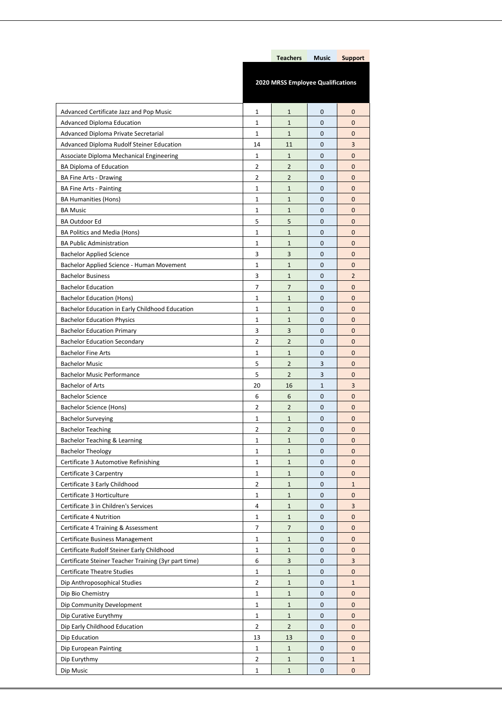|                                                      |                                   | <b>Teachers</b> | <b>Music</b> | <b>Support</b> |
|------------------------------------------------------|-----------------------------------|-----------------|--------------|----------------|
|                                                      |                                   |                 |              |                |
|                                                      | 2020 MRSS Employee Qualifications |                 |              |                |
|                                                      |                                   |                 |              |                |
| Advanced Certificate Jazz and Pop Music              | 1                                 | $\mathbf{1}$    | 0            | 0              |
| <b>Advanced Diploma Education</b>                    | $\mathbf{1}$                      | $\mathbf{1}$    | $\mathbf{0}$ | 0              |
| Advanced Diploma Private Secretarial                 | $\mathbf{1}$                      | $\mathbf{1}$    | $\mathbf{0}$ | 0              |
| Advanced Diploma Rudolf Steiner Education            | 14                                | 11              | 0            | 3              |
| Associate Diploma Mechanical Engineering             | $\mathbf{1}$                      | $\mathbf{1}$    | $\mathbf 0$  | 0              |
| <b>BA Diploma of Education</b>                       | $\overline{2}$                    | $\overline{2}$  | $\mathbf 0$  | $\mathbf{0}$   |
| <b>BA Fine Arts - Drawing</b>                        | 2                                 | $\overline{2}$  | 0            | 0              |
| <b>BA Fine Arts - Painting</b>                       | $\mathbf 1$                       | $\mathbf{1}$    | $\mathbf 0$  | 0              |
| <b>BA Humanities (Hons)</b>                          | 1                                 | $\mathbf{1}$    | 0            | 0              |
| <b>BA Music</b>                                      | 1                                 | $\mathbf{1}$    | 0            | 0              |
| <b>BA Outdoor Ed</b>                                 | 5                                 | 5               | $\mathbf 0$  | 0              |
| BA Politics and Media (Hons)                         | $\mathbf{1}$                      | $\mathbf{1}$    | 0            | $\mathbf{0}$   |
| <b>BA Public Administration</b>                      | 1                                 | $\mathbf{1}$    | 0            | 0              |
| <b>Bachelor Applied Science</b>                      | 3                                 | 3               | $\mathbf 0$  | 0              |
| Bachelor Applied Science - Human Movement            | $\mathbf{1}$                      | $\mathbf{1}$    | $\mathbf 0$  | 0              |
| <b>Bachelor Business</b>                             | 3                                 | $\mathbf{1}$    | 0            | $\overline{2}$ |
| <b>Bachelor Education</b>                            | $\overline{7}$                    | 7               | $\mathbf 0$  | 0              |
| <b>Bachelor Education (Hons)</b>                     | $\mathbf{1}$                      | $\mathbf{1}$    | $\mathbf 0$  | $\mathbf{0}$   |
| Bachelor Education in Early Childhood Education      | 1                                 | $\mathbf{1}$    | 0            | 0              |
| <b>Bachelor Education Physics</b>                    | $\mathbf{1}$                      | $\mathbf{1}$    | $\mathbf 0$  | 0              |
| <b>Bachelor Education Primary</b>                    | 3                                 | 3               | 0            | 0              |
| <b>Bachelor Education Secondary</b>                  | 2                                 | $\overline{2}$  | 0            | 0              |
| <b>Bachelor Fine Arts</b>                            | $\mathbf{1}$                      | $\mathbf{1}$    | $\mathbf{0}$ | 0              |
| <b>Bachelor Music</b>                                | 5                                 | $\overline{2}$  | 3            | $\mathbf{0}$   |
| <b>Bachelor Music Performance</b>                    | 5                                 | $\overline{2}$  | 3            | 0              |
| <b>Bachelor of Arts</b>                              | 20                                | 16              | $\mathbf{1}$ | 3              |
| <b>Bachelor Science</b>                              | 6                                 | 6               | $\mathbf{0}$ | 0              |
| Bachelor Science (Hons)                              | 2                                 | $\overline{2}$  | 0            | 0              |
| <b>Bachelor Surveying</b>                            | $\mathbf{1}$                      | $\mathbf{1}$    | 0            | 0              |
| <b>Bachelor Teaching</b>                             | 2                                 | 2               | $\mathbf 0$  | Ü              |
| Bachelor Teaching & Learning                         | 1                                 | $\mathbf{1}$    | 0            | 0              |
| <b>Bachelor Theology</b>                             | $\mathbf{1}$                      | $\mathbf{1}$    | 0            | 0              |
| Certificate 3 Automotive Refinishing                 | $\mathbf{1}$                      | $\mathbf{1}$    | 0            | 0              |
| Certificate 3 Carpentry                              | $\mathbf{1}$                      | $\mathbf{1}$    | 0            | 0              |
| Certificate 3 Early Childhood                        | $\overline{2}$                    | $\mathbf{1}$    | 0            | $\mathbf{1}$   |
| Certificate 3 Horticulture                           | $\mathbf 1$                       | $\mathbf{1}$    | 0            | 0              |
| Certificate 3 in Children's Services                 | 4                                 | $\mathbf{1}$    | 0            | 3              |
| Certificate 4 Nutrition                              | $\mathbf{1}$                      | $\mathbf{1}$    | 0            | 0              |
| Certificate 4 Training & Assessment                  | 7                                 | $\overline{7}$  | 0            | 0              |
| Certificate Business Management                      | 1                                 | $\mathbf{1}$    | 0            | 0              |
| Certificate Rudolf Steiner Early Childhood           | $\mathbf 1$                       | $\mathbf{1}$    | 0            | 0              |
| Certificate Steiner Teacher Training (3yr part time) | 6                                 | 3               | 0            | 3              |
| <b>Certificate Theatre Studies</b>                   | $\mathbf{1}$                      | $\mathbf{1}$    | 0            | 0              |
| Dip Anthroposophical Studies                         | $\overline{2}$                    | $\mathbf{1}$    | 0            | $\mathbf{1}$   |
| Dip Bio Chemistry                                    | $\mathbf{1}$                      | $\mathbf{1}$    | 0            | 0              |
| Dip Community Development                            | $\mathbf{1}$                      | $\mathbf{1}$    | 0            | 0              |
| Dip Curative Eurythmy                                | $\mathbf{1}$                      | $\mathbf{1}$    | 0            | 0              |
| Dip Early Childhood Education                        | $\overline{2}$                    | $\overline{2}$  | 0            | 0              |
| Dip Education                                        | 13                                | 13              | 0            | 0              |
| Dip European Painting                                | $\mathbf{1}$                      | $\mathbf{1}$    | 0            | 0              |
| Dip Eurythmy                                         | 2                                 | $\mathbf{1}$    | 0            | $\mathbf{1}$   |
| Dip Music                                            | 1                                 | $\mathbf{1}$    | 0            | 0              |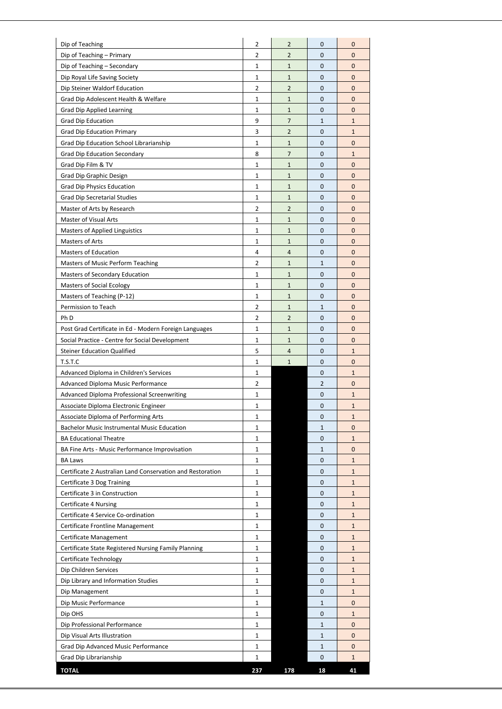| Dip of Teaching                                              | 2                            | 2              | 0              | 0                            |
|--------------------------------------------------------------|------------------------------|----------------|----------------|------------------------------|
| Dip of Teaching - Primary                                    | 2                            | $\overline{2}$ | $\mathbf{0}$   | 0                            |
| Dip of Teaching - Secondary                                  | 1                            | $\mathbf{1}$   | $\mathbf{0}$   | 0                            |
| Dip Royal Life Saving Society                                | 1                            | $\mathbf{1}$   | 0              | 0                            |
| Dip Steiner Waldorf Education                                | $\overline{2}$               | $\overline{2}$ | $\mathbf 0$    | 0                            |
| Grad Dip Adolescent Health & Welfare                         | 1                            | $\mathbf{1}$   | $\mathbf{0}$   | 0                            |
| <b>Grad Dip Applied Learning</b>                             | 1                            | $\mathbf{1}$   | 0              | 0                            |
| <b>Grad Dip Education</b>                                    | 9                            | $\overline{7}$ | $\mathbf 1$    | $\mathbf{1}$                 |
| <b>Grad Dip Education Primary</b>                            | 3                            | $\overline{2}$ | $\mathbf{0}$   | $\mathbf{1}$                 |
| Grad Dip Education School Librarianship                      | 1                            | $\mathbf{1}$   | 0              | 0                            |
| <b>Grad Dip Education Secondary</b>                          | 8                            | $\overline{7}$ | 0              | $\mathbf{1}$                 |
| Grad Dip Film & TV                                           | $\mathbf{1}$                 | $\mathbf{1}$   | $\mathbf{0}$   | 0                            |
| Grad Dip Graphic Design                                      | 1                            | $\mathbf{1}$   | 0              | 0                            |
| <b>Grad Dip Physics Education</b>                            | $\mathbf{1}$                 | $\mathbf{1}$   | 0              | 0                            |
| <b>Grad Dip Secretarial Studies</b>                          | $\mathbf{1}$                 | $\mathbf{1}$   | $\mathbf{0}$   | 0                            |
| Master of Arts by Research                                   | 2                            | $\overline{2}$ | 0              | 0                            |
| Master of Visual Arts                                        | $\mathbf{1}$                 | $\mathbf 1$    | 0              | 0                            |
| Masters of Applied Linguistics                               | 1                            | $\mathbf{1}$   | $\mathbf{0}$   | 0                            |
| Masters of Arts                                              | 1                            | $\mathbf{1}$   | 0              | 0                            |
| <b>Masters of Education</b>                                  | $\overline{4}$               | 4              | 0              | 0                            |
| Masters of Music Perform Teaching                            | $\overline{2}$               | $\mathbf{1}$   | $\mathbf{1}$   | 0                            |
| Masters of Secondary Education                               | 1                            | $\mathbf{1}$   | 0              | 0                            |
| <b>Masters of Social Ecology</b>                             | $\mathbf{1}$                 | $\mathbf 1$    | $\mathbf{0}$   | 0                            |
| Masters of Teaching (P-12)                                   | $\mathbf{1}$                 | $\mathbf{1}$   | $\mathbf{0}$   | 0                            |
| Permission to Teach                                          | 2                            | $\mathbf{1}$   | $\mathbf{1}$   | 0                            |
| Ph D                                                         | 2                            | $\overline{2}$ | 0              | 0                            |
| Post Grad Certificate in Ed - Modern Foreign Languages       | $\mathbf{1}$                 | $\mathbf{1}$   | $\mathbf{0}$   | 0                            |
| Social Practice - Centre for Social Development              | 1                            | $\mathbf{1}$   | 0              | 0                            |
| <b>Steiner Education Qualified</b>                           | 5                            | 4              | 0              | $\mathbf{1}$                 |
| T.S.T.C                                                      | $\mathbf{1}$                 | $\mathbf{1}$   | $\mathbf{0}$   | 0                            |
| Advanced Diploma in Children's Services                      | 1                            |                | 0              | $\mathbf{1}$                 |
| Advanced Diploma Music Performance                           | 2                            |                | $\overline{2}$ | 0                            |
| Advanced Diploma Professional Screenwriting                  | $\mathbf{1}$                 |                | 0              | $\mathbf{1}$                 |
| Associate Diploma Electronic Engineer                        | 1                            |                | 0              | $\mathbf{1}$                 |
| Associate Diploma of Performing Arts                         | 1                            |                | 0              | $\mathbf{1}$                 |
| <b>Bachelor Music Instrumental Music Education</b>           | 1                            |                | $\mathbf{1}$   | 0                            |
| <b>BA Educational Theatre</b>                                | $\mathbf{1}$                 |                | 0              | $\mathbf{1}$                 |
| BA Fine Arts - Music Performance Improvisation               | 1                            |                | $\mathbf{1}$   | 0                            |
| <b>BA Laws</b>                                               | $\mathbf{1}$                 |                | 0              | $\mathbf{1}$                 |
| Certificate 2 Australian Land Conservation and Restoration   | $\mathbf{1}$                 |                | 0              | $\mathbf{1}$                 |
| Certificate 3 Dog Training                                   | $\mathbf{1}$                 |                | 0              | $\mathbf{1}$                 |
| Certificate 3 in Construction                                | $\mathbf{1}$                 |                | 0              | $\mathbf{1}$                 |
| Certificate 4 Nursing<br>Certificate 4 Service Co-ordination | $\mathbf{1}$<br>$\mathbf{1}$ |                | 0<br>0         | $\mathbf{1}$<br>$\mathbf{1}$ |
| Certificate Frontline Management                             | 1                            |                | 0              | $\mathbf{1}$                 |
| Certificate Management                                       | $\mathbf{1}$                 |                | 0              | $\mathbf{1}$                 |
| Certificate State Registered Nursing Family Planning         | 1                            |                | 0              | $\mathbf{1}$                 |
| Certificate Technology                                       | $\mathbf{1}$                 |                | 0              | $\mathbf{1}$                 |
| Dip Children Services                                        | $\mathbf{1}$                 |                | 0              | $\mathbf{1}$                 |
| Dip Library and Information Studies                          | 1                            |                | 0              | $\mathbf{1}$                 |
| Dip Management                                               | 1                            |                | 0              | $\mathbf{1}$                 |
| Dip Music Performance                                        | $\mathbf{1}$                 |                | $\mathbf{1}$   | 0                            |
| Dip OHS                                                      | 1                            |                | 0              | $\mathbf{1}$                 |
| Dip Professional Performance                                 | $\mathbf{1}$                 |                | $\mathbf{1}$   | 0                            |
| Dip Visual Arts Illustration                                 | $\mathbf{1}$                 |                | $\mathbf{1}$   | 0                            |
| Grad Dip Advanced Music Performance                          | 1                            |                | $\mathbf{1}$   | 0                            |
| Grad Dip Librarianship                                       | $\mathbf{1}$                 |                | $\mathbf 0$    | $\mathbf{1}$                 |
| <b>TOTAL</b>                                                 | 237                          | 178            | 18             | 41                           |
|                                                              |                              |                |                |                              |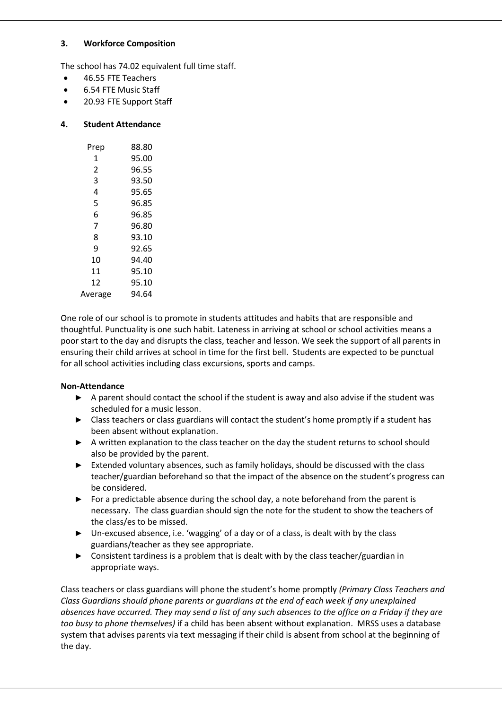## **3. Workforce Composition**

The school has 74.02 equivalent full time staff.

- 46.55 FTE Teachers
- 6.54 FTE Music Staff
- 20.93 FTE Support Staff

#### **4. Student Attendance**

| Prep    | 88.80 |
|---------|-------|
| 1       | 95.00 |
| 2       | 96.55 |
| 3       | 93.50 |
|         |       |
| 4       | 95.65 |
| 5       | 96.85 |
| 6       | 96.85 |
| 7       | 96.80 |
| 8       | 93.10 |
| 9       | 92.65 |
| 10      | 94.40 |
| 11      | 95.10 |
| 12      | 95.10 |
| Average | 94.64 |
|         |       |

One role of our school is to promote in students attitudes and habits that are responsible and thoughtful. Punctuality is one such habit. Lateness in arriving at school or school activities means a poor start to the day and disrupts the class, teacher and lesson. We seek the support of all parents in ensuring their child arrives at school in time for the first bell. Students are expected to be punctual for all school activities including class excursions, sports and camps.

#### **Non-Attendance**

- **►** A parent should contact the school if the student is away and also advise if the student was scheduled for a music lesson.
- **►** Class teachers or class guardians will contact the student's home promptly if a student has been absent without explanation.
- **►** A written explanation to the class teacher on the day the student returns to school should also be provided by the parent.
- **►** Extended voluntary absences, such as family holidays, should be discussed with the class teacher/guardian beforehand so that the impact of the absence on the student's progress can be considered.
- **►** For a predictable absence during the school day, a note beforehand from the parent is necessary. The class guardian should sign the note for the student to show the teachers of the class/es to be missed.
- **►** Un-excused absence, i.e. 'wagging' of a day or of a class, is dealt with by the class guardians/teacher as they see appropriate.
- **►** Consistent tardiness is a problem that is dealt with by the class teacher/guardian in appropriate ways.

Class teachers or class guardians will phone the student's home promptly *(Primary Class Teachers and Class Guardians should phone parents or guardians at the end of each week if any unexplained absences have occurred. They may send a list of any such absences to the office on a Friday if they are too busy to phone themselves)* if a child has been absent without explanation. MRSS uses a database system that advises parents via text messaging if their child is absent from school at the beginning of the day.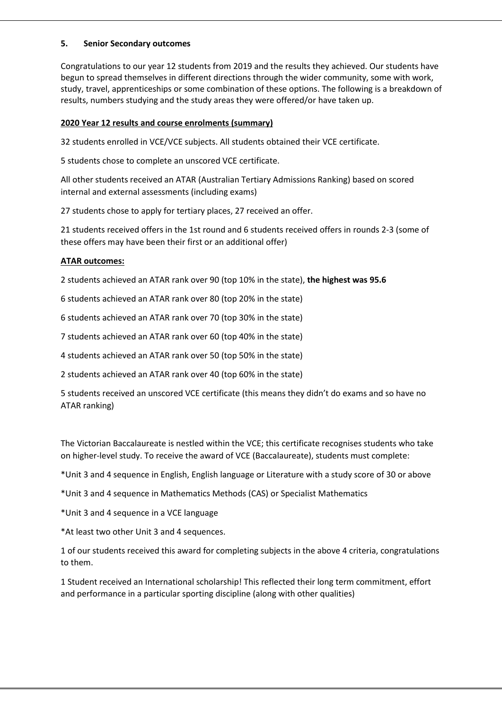#### **5. Senior Secondary outcomes**

Congratulations to our year 12 students from 2019 and the results they achieved. Our students have begun to spread themselves in different directions through the wider community, some with work, study, travel, apprenticeships or some combination of these options. The following is a breakdown of results, numbers studying and the study areas they were offered/or have taken up.

# **2020 Year 12 results and course enrolments (summary)**

32 students enrolled in VCE/VCE subjects. All students obtained their VCE certificate.

5 students chose to complete an unscored VCE certificate.

All other students received an ATAR (Australian Tertiary Admissions Ranking) based on scored internal and external assessments (including exams)

27 students chose to apply for tertiary places, 27 received an offer.

21 students received offers in the 1st round and 6 students received offers in rounds 2-3 (some of these offers may have been their first or an additional offer)

## **ATAR outcomes:**

2 students achieved an ATAR rank over 90 (top 10% in the state), **the highest was 95.6**

6 students achieved an ATAR rank over 80 (top 20% in the state)

6 students achieved an ATAR rank over 70 (top 30% in the state)

7 students achieved an ATAR rank over 60 (top 40% in the state)

4 students achieved an ATAR rank over 50 (top 50% in the state)

2 students achieved an ATAR rank over 40 (top 60% in the state)

5 students received an unscored VCE certificate (this means they didn't do exams and so have no ATAR ranking)

The Victorian Baccalaureate is nestled within the VCE; this certificate recognises students who take on higher-level study. To receive the award of VCE (Baccalaureate), students must complete:

\*Unit 3 and 4 sequence in English, English language or Literature with a study score of 30 or above

\*Unit 3 and 4 sequence in Mathematics Methods (CAS) or Specialist Mathematics

\*Unit 3 and 4 sequence in a VCE language

\*At least two other Unit 3 and 4 sequences.

1 of our students received this award for completing subjects in the above 4 criteria, congratulations to them.

1 Student received an International scholarship! This reflected their long term commitment, effort and performance in a particular sporting discipline (along with other qualities)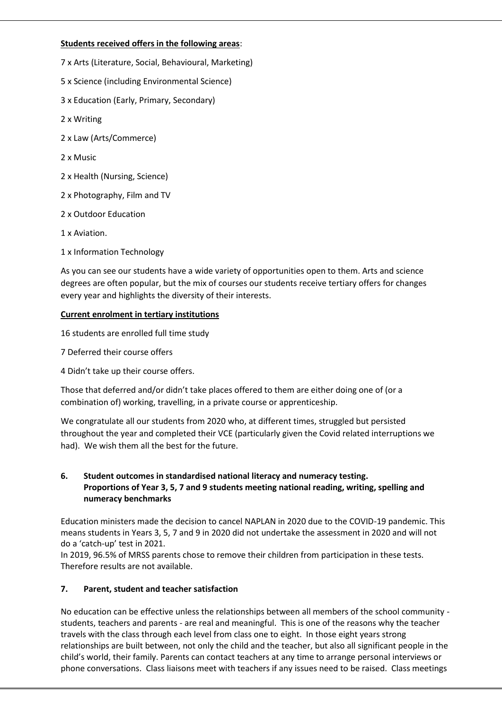# **Students received offers in the following areas**:

7 x Arts (Literature, Social, Behavioural, Marketing)

- 5 x Science (including Environmental Science)
- 3 x Education (Early, Primary, Secondary)
- 2 x Writing
- 2 x Law (Arts/Commerce)
- 2 x Music
- 2 x Health (Nursing, Science)
- 2 x Photography, Film and TV
- 2 x Outdoor Education
- 1 x Aviation.
- 1 x Information Technology

As you can see our students have a wide variety of opportunities open to them. Arts and science degrees are often popular, but the mix of courses our students receive tertiary offers for changes every year and highlights the diversity of their interests.

## **Current enrolment in tertiary institutions**

16 students are enrolled full time study

- 7 Deferred their course offers
- 4 Didn't take up their course offers.

Those that deferred and/or didn't take places offered to them are either doing one of (or a combination of) working, travelling, in a private course or apprenticeship.

We congratulate all our students from 2020 who, at different times, struggled but persisted throughout the year and completed their VCE (particularly given the Covid related interruptions we had). We wish them all the best for the future.

# **6. Student outcomes in standardised national literacy and numeracy testing. Proportions of Year 3, 5, 7 and 9 students meeting national reading, writing, spelling and numeracy benchmarks**

Education ministers made the decision to cancel NAPLAN in 2020 due to the COVID-19 pandemic. This means students in Years 3, 5, 7 and 9 in 2020 did not undertake the assessment in 2020 and will not do a 'catch-up' test in 2021.

In 2019, 96.5% of MRSS parents chose to remove their children from participation in these tests. Therefore results are not available.

#### **7. Parent, student and teacher satisfaction**

No education can be effective unless the relationships between all members of the school community students, teachers and parents - are real and meaningful. This is one of the reasons why the teacher travels with the class through each level from class one to eight. In those eight years strong relationships are built between, not only the child and the teacher, but also all significant people in the child's world, their family. Parents can contact teachers at any time to arrange personal interviews or phone conversations. Class liaisons meet with teachers if any issues need to be raised. Class meetings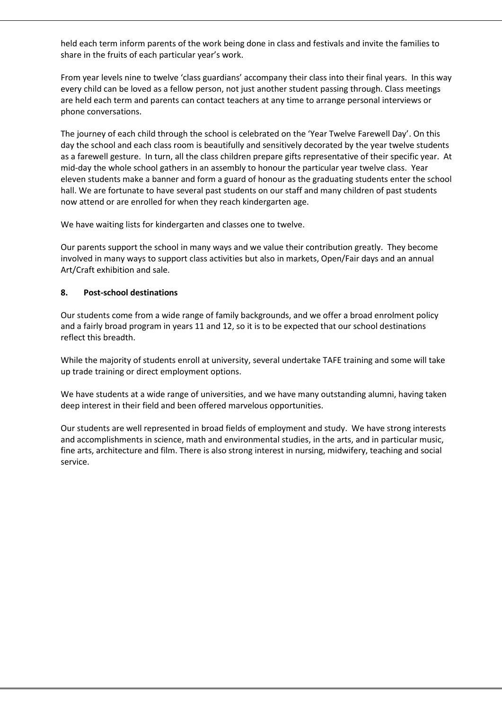held each term inform parents of the work being done in class and festivals and invite the families to share in the fruits of each particular year's work.

From year levels nine to twelve 'class guardians' accompany their class into their final years. In this way every child can be loved as a fellow person, not just another student passing through. Class meetings are held each term and parents can contact teachers at any time to arrange personal interviews or phone conversations.

The journey of each child through the school is celebrated on the 'Year Twelve Farewell Day'. On this day the school and each class room is beautifully and sensitively decorated by the year twelve students as a farewell gesture. In turn, all the class children prepare gifts representative of their specific year. At mid-day the whole school gathers in an assembly to honour the particular year twelve class. Year eleven students make a banner and form a guard of honour as the graduating students enter the school hall. We are fortunate to have several past students on our staff and many children of past students now attend or are enrolled for when they reach kindergarten age.

We have waiting lists for kindergarten and classes one to twelve.

Our parents support the school in many ways and we value their contribution greatly. They become involved in many ways to support class activities but also in markets, Open/Fair days and an annual Art/Craft exhibition and sale.

## **8. Post-school destinations**

Our students come from a wide range of family backgrounds, and we offer a broad enrolment policy and a fairly broad program in years 11 and 12, so it is to be expected that our school destinations reflect this breadth.

While the majority of students enroll at university, several undertake TAFE training and some will take up trade training or direct employment options.

We have students at a wide range of universities, and we have many outstanding alumni, having taken deep interest in their field and been offered marvelous opportunities.

Our students are well represented in broad fields of employment and study. We have strong interests and accomplishments in science, math and environmental studies, in the arts, and in particular music, fine arts, architecture and film. There is also strong interest in nursing, midwifery, teaching and social service.